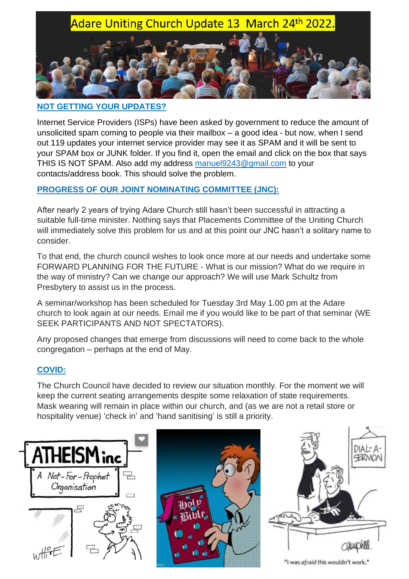# Adare Uniting Church Update 13 March 24th 2022.

### **NOT GETTING YOUR UPDATES?**

Internet Service Providers (ISPs) have been asked by government to reduce the amount of unsolicited spam coming to people via their mailbox – a good idea - but now, when I send out 119 updates your internet service provider may see it as SPAM and it will be sent to your SPAM box or JUNK folder. If you find it, open the email and click on the box that says THIS IS NOT SPAM. Also add my address [manuel9243@gmail.com](mailto:manuel9243@gmail.com) to your contacts/address book. This should solve the problem.

### **PROGRESS OF OUR JOINT NOMINATING COMMITTEE (JNC):**

After nearly 2 years of trying Adare Church still hasn't been successful in attracting a suitable full-time minister. Nothing says that Placements Committee of the Uniting Church will immediately solve this problem for us and at this point our JNC hasn't a solitary name to consider.

To that end, the church council wishes to look once more at our needs and undertake some FORWARD PLANNING FOR THE FUTURE - What is our mission? What do we require in the way of ministry? Can we change our approach? We will use Mark Schultz from Presbytery to assist us in the process.

A seminar/workshop has been scheduled for Tuesday 3rd May 1.00 pm at the Adare church to look again at our needs. Email me if you would like to be part of that seminar (WE SEEK PARTICIPANTS AND NOT SPECTATORS).

Any proposed changes that emerge from discussions will need to come back to the whole congregation – perhaps at the end of May.

### **COVID:**

The Church Council have decided to review our situation monthly. For the moment we will keep the current seating arrangements despite some relaxation of state requirements. Mask wearing will remain in place within our church, and (as we are not a retail store or hospitality venue) 'check in' and 'hand sanitising' is still a priority.







"I was afraid this wouldn't work."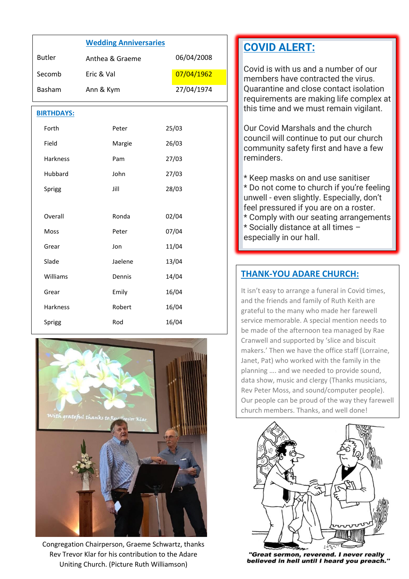|                   | <b>Wedding Anniversaries</b> |            |
|-------------------|------------------------------|------------|
| <b>Butler</b>     | Anthea & Graeme              | 06/04/2008 |
| Secomb            | Eric & Val                   | 07/04/1962 |
| Basham            | Ann & Kym                    | 27/04/1974 |
| <b>BIRTHDAYS:</b> |                              |            |
| Forth             | Peter                        | 25/03      |
| Field             | Margie                       | 26/03      |
| Harkness          | Pam                          | 27/03      |
| Hubbard           | John                         | 27/03      |
| Sprigg            | Jill                         | 28/03      |
|                   |                              |            |
| Overall           | Ronda                        | 02/04      |
| <b>Moss</b>       | Peter                        | 07/04      |
| Grear             | Jon                          | 11/04      |
| Slade             | Jaelene                      | 13/04      |
| Williams          | Dennis                       | 14/04      |
| Grear             | Emily                        | 16/04      |
| Harkness          | Robert                       | 16/04      |
| Sprigg            | Rod                          | 16/04      |



Congregation Chairperson, Graeme Schwartz, thanks Rev Trevor Klar for his contribution to the Adare Uniting Church. (Picture Ruth Williamson)

# **COVID ALERT:**

Covid is with us and a number of our members have contracted the virus. Quarantine and close contact isolation requirements are making life complex at this time and we must remain vigilant.

Our Covid Marshals and the church council will continue to put our church community safety first and have a few reminders.

\* Keep masks on and use sanitiser \* Do not come to church if you're feeling unwell - even slightly. Especially, don't feel pressured if you are on a roster. \* Comply with our seating arrangements \* Socially distance at all times – especially in our hall.

### **THANK-YOU ADARE CHURCH:**

It isn't easy to arrange a funeral in Covid times, and the friends and family of Ruth Keith are grateful to the many who made her farewell service memorable. A special mention needs to be made of the afternoon tea managed by Rae Cranwell and supported by 'slice and biscuit makers.' Then we have the office staff (Lorraine, Janet, Pat) who worked with the family in the planning …. and we needed to provide sound, data show, music and clergy (Thanks musicians, Rev Peter Moss, and sound/computer people). Our people can be proud of the way they farewell church members. Thanks, and well done!



"Great sermon, reverend. I never really believed in hell until I heard you preach."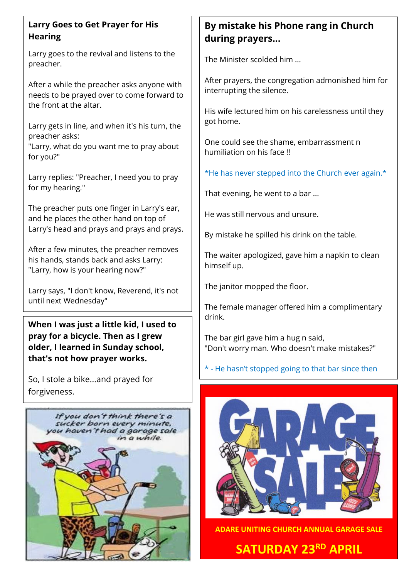## **Larry Goes to Get Prayer for His Hearing**

Larry goes to the revival and listens to the preacher.

After a while the preacher asks anyone with needs to be prayed over to come forward to the front at the altar.

Larry gets in line, and when it's his turn, the preacher asks:

"Larry, what do you want me to pray about for you?"

Larry replies: "Preacher, I need you to pray for my hearing."

The preacher puts one finger in Larry's ear, and he places the other hand on top of Larry's head and prays and prays and prays.

After a few minutes, the preacher removes his hands, stands back and asks Larry: "Larry, how is your hearing now?"

Larry says, "I don't know, Reverend, it's not until next Wednesday"

**When I was just a little kid, I used to pray for a bicycle. Then as I grew older, I learned in Sunday school, that's not how prayer works.**

So, I stole a bike...and prayed for forgiveness.



# **By mistake his Phone rang in Church during prayers...**

The Minister scolded him ...

After prayers, the congregation admonished him for interrupting the silence.

His wife lectured him on his carelessness until they got home.

One could see the shame, embarrassment n humiliation on his face !!

\*He has never stepped into the Church ever again.\*

That evening, he went to a bar ...

He was still nervous and unsure.

By mistake he spilled his drink on the table.

The waiter apologized, gave him a napkin to clean himself up.

The janitor mopped the floor.

The female manager offered him a complimentary drink.

The bar girl gave him a hug n said, "Don't worry man. Who doesn't make mistakes?"

\* - He hasn't stopped going to that bar since then



**ADARE UNITING CHURCH ANNUAL GARAGE SALE**

**SATURDAY 23RD APRIL**